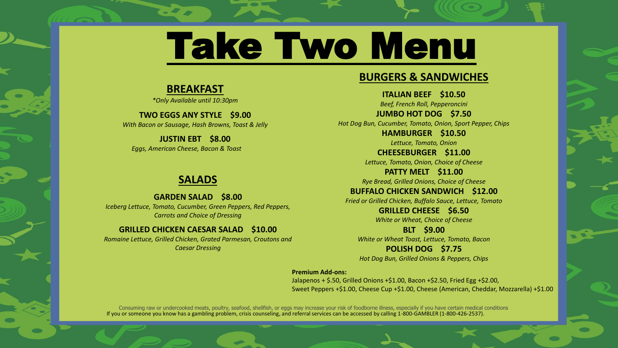# Take Two Menu

# **BREAKFAST**

*\*Only Available until 10:30pm*

**TWO EGGS ANY STYLE \$9.00** *With Bacon or Sausage, Hash Browns, Toast & Jelly*

**JUSTIN EBT \$8.00** *Eggs, American Cheese, Bacon & Toast* 

## **SALADS**

**GARDEN SALAD \$8.00** *Iceberg Lettuce, Tomato, Cucumber, Green Peppers, Red Peppers, Carrots and Choice of Dressing* 

#### **GRILLED CHICKEN CAESAR SALAD \$10.00**

*Romaine Lettuce, Grilled Chicken, Grated Parmesan, Croutons and Caesar Dressing*





If you or someone you know has a gambling problem, crisis counseling, and referral services can be accessed by calling 1-800-GAMBLER (1-800-426-2537). Consuming raw or undercooked meats, poultry, seafood, shellfish, or eggs may increase your risk of foodborne illness, especially if you have certain medical conditions

# **BURGERS & SANDWICHES**

**ITALIAN BEEF \$10.50** *Beef, French Roll, Pepperoncini* **JUMBO HOT DOG \$7.50** *Hot Dog Bun, Cucumber, Tomato, Onion, Sport Pepper, Chips* **HAMBURGER \$10.50** *Lettuce, Tomato, Onion* **CHEESEBURGER \$11.00** *Lettuce, Tomato, Onion, Choice of Cheese* **PATTY MELT \$11.00** *Rye Bread, Grilled Onions, Choice of Cheese* **BUFFALO CHICKEN SANDWICH \$12.00** *Fried or Grilled Chicken, Buffalo Sauce, Lettuce, Tomato* **GRILLED CHEESE \$6.50** *White or Wheat, Choice of Cheese*

**BLT \$9.00**

*White or Wheat Toast, Lettuce, Tomato, Bacon* **POLISH DOG \$7.75** *Hot Dog Bun, Grilled Onions & Peppers, Chips*

**Premium Add-ons:**  Jalapenos + \$.50, Grilled Onions +\$1.00, Bacon +\$2.50, Fried Egg +\$2.00, Sweet Peppers +\$1.00, Cheese Cup +\$1.00, Cheese (American, Cheddar, Mozzarella) +\$1.00